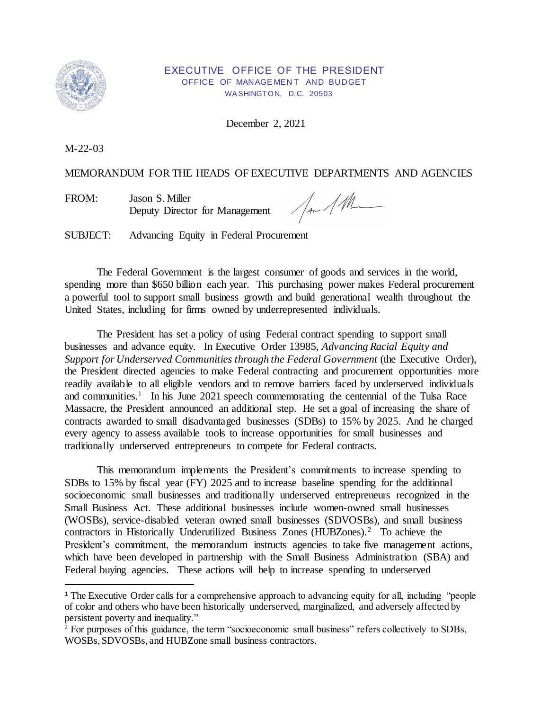

### EXECUTIVE OFFICE OF THE PRESIDENT OFFICE OF MANAGEMENT AND BUDGET WA SHINGTON, D.C. 20503

December 2, 2021

M-22-03

# MEMORANDUM FOR THE HEADS OF EXECUTIVE DEPARTMENTS AND AGENCIES

 Deputy Director for Management FROM: Jason S. Miller

Jan 11h

SUBJECT: Advancing Equity in Federal Procurement

 The Federal Government is the largest consumer of goods and services in the world, spending more than \$650 billion each year. This purchasing power makes Federal procurement a powerful tool to support small business growth and build generational wealth throughout the United States, including for firms owned by underrepresented individuals.

 The President has set a policy of using Federal contract spending to support small businesses and advance equity. In Executive Order 13985, *Advancing Racial Equity and*  Support for Underserved Communities through the Federal Government (the Executive Order), the President directed agencies to make Federal contracting and procurement opportunities more readily available to all eligible vendors and to remove barriers faced by underserved individuals and communities.<sup>1</sup> In his June 2021 speech commemorating the centennial of the Tulsa Race Massacre, the President announced an additional step. He set a goal of increasing the share of contracts awarded to small disadvantaged businesses (SDBs) to 15% by 2025. And he charged every agency to assess available tools to increase opportunities for small businesses and traditionally underserved entrepreneurs to compete for Federal contracts.

 This memorandum implements the President's commitments to increase spending to SDBs to 15% by fiscal year (FY) 2025 and to increase baseline spending for the additional socioeconomic small businesses and traditionally underserved entrepreneurs recognized in the Small Business Act. These additional businesses include women-owned small businesses (WOSBs), service-disabled veteran owned small businesses (SDVOSBs), and small business contractors in Historically Underutilized Business Zones (HUBZones).<sup>2</sup> To achieve the President's commitment, the memorandum instructs agencies to take five management actions, which have been developed in partnership with the Small Business Administration (SBA) and Federal buying agencies. These actions will help to increase spending to underserved

<sup>&</sup>lt;sup>1</sup> The Executive Order calls for a comprehensive approach to advancing equity for all, including "people of color and others who have been historically underserved, marginalized, and adversely affected by persistent poverty and inequality."

<sup>&</sup>lt;sup>2</sup> For purposes of this guidance, the term "socioeconomic small business" refers collectively to SDBs, WOSBs, SDVOSBs, and HUBZone small business contractors.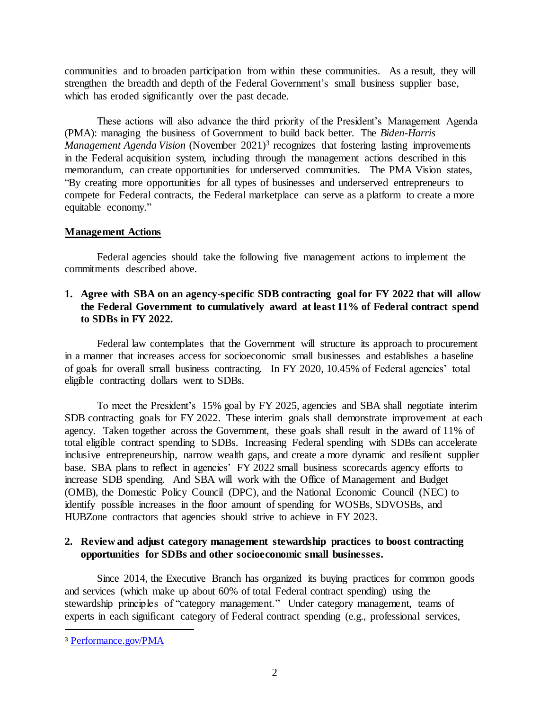communities and to broaden participation from within these communities. As a result, they will strengthen the breadth and depth of the Federal Government's small business supplier base, which has eroded significantly over the past decade.

 These actions will also advance the third priority of the President's Management Agenda (PMA): managing the business of Government to build back better. The *Biden-Harris Management Agenda Vision* (November 2021)<sup>3</sup> recognizes that fostering lasting improvements in the Federal acquisition system, including through the management actions described in this memorandum, can create opportunities for underserved communities. The PMA Vision states, "By creating more opportunities for all types of businesses and underserved entrepreneurs to compete for Federal contracts, the Federal marketplace can serve as a platform to create a more equitable economy."

### **Management Actions**

 Federal agencies should take the following five management actions to implement the commitments described above.

# **1. Agree with SBA on an agency-specific SDB contracting goal for FY 2022 that will allow the Federal Government to cumulatively award at least 11% of Federal contract spend to SDBs in FY 2022.**

 Federal law contemplates that the Government will structure its approach to procurement in a manner that increases access for socioeconomic small businesses and establishes a baseline of goals for overall small business contracting. In FY 2020, 10.45% of Federal agencies' total eligible contracting dollars went to SDBs.

 To meet the President's 15% goal by FY 2025, agencies and SBA shall negotiate interim SDB contracting goals for FY 2022. These interim goals shall demonstrate improvement at each agency. Taken together across the Government, these goals shall result in the award of 11% of total eligible contract spending to SDBs. Increasing Federal spending with SDBs can accelerate inclusive entrepreneurship, narrow wealth gaps, and create a more dynamic and resilient supplier base. SBA plans to reflect in agencies' FY 2022 small business scorecards agency efforts to increase SDB spending. And SBA will work with the Office of Management and Budget (OMB), the Domestic Policy Council (DPC), and the National Economic Council (NEC) to identify possible increases in the floor amount of spending for WOSBs, SDVOSBs, and HUBZone contractors that agencies should strive to achieve in FY 2023.

# **2. Review and adjust category management stewardship practices to boost contracting opportunities for SDBs and other socioeconomic small businesses.**

 Since 2014, the Executive Branch has organized its buying practices for common goods and services (which make up about 60% of total Federal contract spending) using the stewardship principles of "category management." Under category management, teams of experts in each significant category of Federal contract spending (e.g., professional services,

<sup>3</sup>[Performance.gov/PMA](https://www.performance.gov/PMA)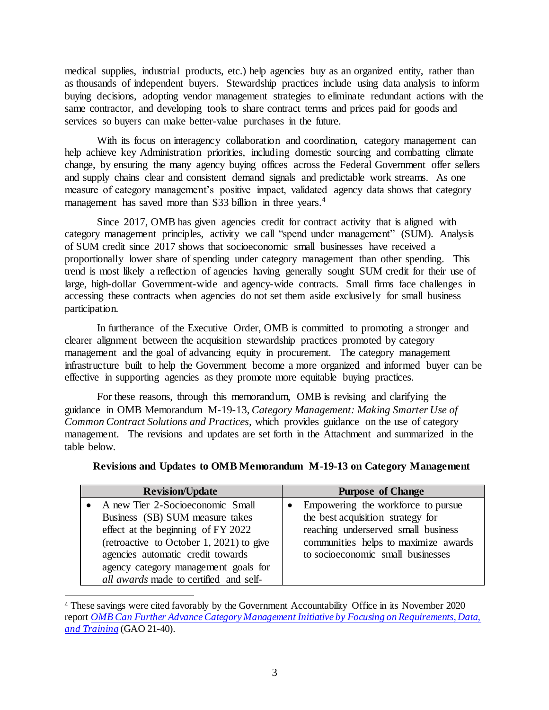medical supplies, industrial products, etc.) help agencies buy as an organized entity, rather than as thousands of independent buyers. Stewardship practices include using data analysis to inform buying decisions, adopting vendor management strategies to eliminate redundant actions with the same contractor, and developing tools to share contract terms and prices paid for goods and services so buyers can make better-value purchases in the future.

 With its focus on interagency collaboration and coordination, category management can help achieve key Administration priorities, including domestic sourcing and combatting climate change, by ensuring the many agency buying offices across the Federal Government offer sellers and supply chains clear and consistent demand signals and predictable work streams. As one measure of category management's positive impact, validated agency data shows that category management has saved more than \$33 billion in three years.<sup>4</sup>

 Since 2017, OMB has given agencies credit for contract activity that is aligned with category management principles, activity we call "spend under management" (SUM). Analysis of SUM credit since 2017 shows that socioeconomic small businesses have received a proportionally lower share of spending under category management than other spending. This trend is most likely a reflection of agencies having generally sought SUM credit for their use of large, high-dollar Government-wide and agency-wide contracts. Small firms face challenges in accessing these contracts when agencies do not set them aside exclusively for small business participation.

 In furtherance of the Executive Order, OMB is committed to promoting a stronger and clearer alignment between the acquisition stewardship practices promoted by category management and the goal of advancing equity in procurement. The category management infrastructure built to help the Government become a more organized and informed buyer can be effective in supporting agencies as they promote more equitable buying practices.

 For these reasons, through this memorandum, OMB is revising and clarifying the guidance in OMB Memorandum M-19-13, *Category Management: Making Smarter Use of Common Contract Solutions and Practices,* which provides guidance on the use of category management. The revisions and updates are set forth in the Attachment and summarized in the table below.

| <b>Revision/Update</b>                                                                                                                                                                                                               | <b>Purpose of Change</b>                                                                                                                                                                    |
|--------------------------------------------------------------------------------------------------------------------------------------------------------------------------------------------------------------------------------------|---------------------------------------------------------------------------------------------------------------------------------------------------------------------------------------------|
| • A new Tier 2-Socioeconomic Small<br>Business (SB) SUM measure takes<br>effect at the beginning of FY 2022<br>(retroactive to October 1, 2021) to give<br>agencies automatic credit towards<br>agency category management goals for | Empowering the workforce to pursue<br>the best acquisition strategy for<br>reaching underserved small business<br>communities helps to maximize awards<br>to socioeconomic small businesses |
| all awards made to certified and self-                                                                                                                                                                                               |                                                                                                                                                                                             |

|  |  | Revisions and Updates to OMB Memorandum M-19-13 on Category Management |  |  |  |
|--|--|------------------------------------------------------------------------|--|--|--|
|--|--|------------------------------------------------------------------------|--|--|--|

l

 <sup>4</sup>These savings were cited favorably by the Government Accountability Office in its November 2020  report *[OMB Can Further Advance Category Management Initiative by Focusing on Requirements, Data,](https://www.gao.gov/assets/gao-21-40.pdf)  [and Training](https://www.gao.gov/assets/gao-21-40.pdf)* (GAO 21-40).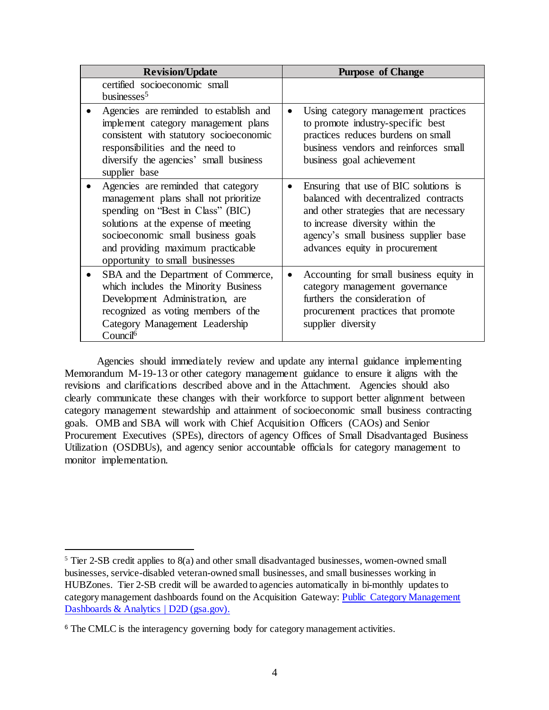| <b>Revision/Update</b>                                                                                                                                                                                                                                                 | <b>Purpose of Change</b>                                                                                                                                                                                                                 |
|------------------------------------------------------------------------------------------------------------------------------------------------------------------------------------------------------------------------------------------------------------------------|------------------------------------------------------------------------------------------------------------------------------------------------------------------------------------------------------------------------------------------|
| certified socioeconomic small<br>businesses <sup>5</sup>                                                                                                                                                                                                               |                                                                                                                                                                                                                                          |
| Agencies are reminded to establish and<br>implement category management plans<br>consistent with statutory socioeconomic<br>responsibilities and the need to<br>diversify the agencies' small business<br>supplier base                                                | Using category management practices<br>to promote industry-specific best<br>practices reduces burdens on small<br>business vendors and reinforces small<br>business goal achievement                                                     |
| Agencies are reminded that category<br>management plans shall not prioritize<br>spending on "Best in Class" (BIC)<br>solutions at the expense of meeting<br>socioeconomic small business goals<br>and providing maximum practicable<br>opportunity to small businesses | Ensuring that use of BIC solutions is<br>balanced with decentralized contracts<br>and other strategies that are necessary<br>to increase diversity within the<br>agency's small business supplier base<br>advances equity in procurement |
| SBA and the Department of Commerce,<br>which includes the Minority Business<br>Development Administration, are<br>recognized as voting members of the<br>Category Management Leadership<br>Council <sup>6</sup>                                                        | Accounting for small business equity in<br>category management governance<br>furthers the consideration of<br>procurement practices that promote<br>supplier diversity                                                                   |

 Agencies should immediately review and update any internal guidance implementing Memorandum M-19-13 or other category management guidance to ensure it aligns with the revisions and clarifications described above and in the Attachment. Agencies should also clearly communicate these changes with their workforce to support better alignment between category management stewardship and attainment of socioeconomic small business contracting goals. OMB and SBA will work with Chief Acquisition Officers (CAOs) and Senior Procurement Executives (SPEs), directors of agency Offices of Small Disadvantaged Business Utilization (OSDBUs), and agency senior accountable officials for category management to monitor implementation.

 $5$  Tier 2-SB credit applies to  $8(a)$  and other small disadvantaged businesses, women-owned small businesses, service-disabled veteran-owned small businesses, and small businesses working in HUBZones. Tier 2-SB credit will be awarded to agencies automatically in bi-monthly updates to category management dashboards found on the Acquisition Gateway: Public Category Management [Dashboards & Analytics | D2D \(gsa.gov\).](https://d2d.gsa.gov/report/public-category-management-dashboards-analytics)

<sup>&</sup>lt;sup>6</sup> The CMLC is the interagency governing body for category management activities.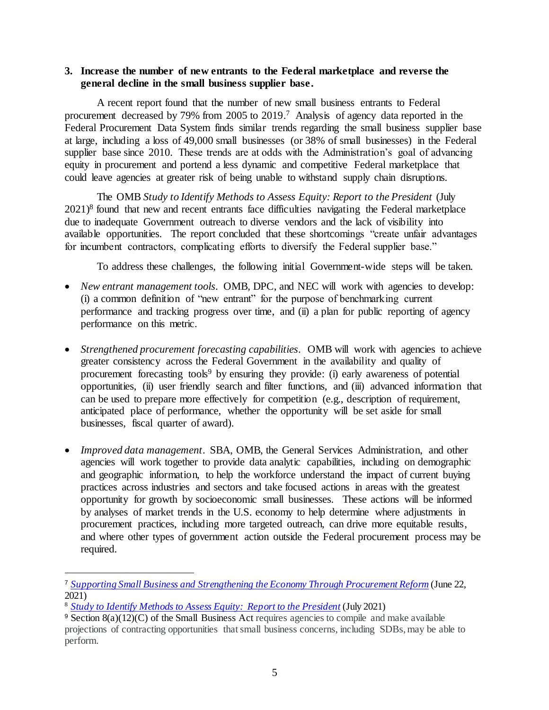# **3. Increase the number of new entrants to the Federal marketplace and reverse the general decline in the small business supplier base.**

 A recent report found that the number of new small business entrants to Federal procurement decreased by 79% from 2005 to 2019.<sup>7</sup> Analysis of agency data reported in the Federal Procurement Data System finds similar trends regarding the small business supplier base at large, including a loss of 49,000 small businesses (or 38% of small businesses) in the Federal supplier base since 2010. These trends are at odds with the Administration's goal of advancing equity in procurement and portend a less dynamic and competitive Federal marketplace that could leave agencies at greater risk of being unable to withstand supply chain disruptions.

 $2021$ <sup>8</sup> found that new and recent entrants face difficulties navigating the Federal marketplace due to inadequate Government outreach to diverse vendors and the lack of visibility into available opportunities. The report concluded that these shortcomings "create unfair advantages for incumbent contractors, complicating efforts to diversify the Federal supplier base." The OMB Study to Identify Methods to Assess Equity: Report to the President (July

To address these challenges, the following initial Government-wide steps will be taken.

- *New entrant management tools.* OMB, DPC, and NEC will work with agencies to develop: (i) a common definition of "new entrant" for the purpose of benchmarking current performance and tracking progress over time, and (ii) a plan for public reporting of agency performance on this metric.
- • *Strengthened procurement forecasting capabilities*. OMB will work with agencies to achieve greater consistency across the Federal Government in the availability and quality of procurement forecasting tools<sup>9</sup> by ensuring they provide: (i) early awareness of potential opportunities, (ii) user friendly search and filter functions, and (iii) advanced information that can be used to prepare more effectively for competition (e.g., description of requirement, anticipated place of performance, whether the opportunity will be set aside for small businesses, fiscal quarter of award).
- • *Improved data management*. SBA, OMB, the General Services Administration, and other agencies will work together to provide data analytic capabilities, including on demographic and geographic information, to help the workforce understand the impact of current buying practices across industries and sectors and take focused actions in areas with the greatest opportunity for growth by socioeconomic small businesses. These actions will be informed by analyses of market trends in the U.S. economy to help determine where adjustments in procurement practices, including more targeted outreach, can drive more equitable results, and where other types of government action outside the Federal procurement process may be required.

 <sup>7</sup>*[Supporting Small Business and Strengthening the Economy Through Procurement Reform](https://bipartisanpolicy.org/report/supporting-small-business-and-strengthening-the-economy-through-procurement-reform/)* (June 22, 2021)

 <sup>8</sup>*[Study to Identify Methods to Assess Equity: Report to the President](https://www.whitehouse.gov/wp-content/uploads/2021/08/OMB-Report-on-E013985-Implementation_508-Compliant-Secure-v1.1.pdf)* (July 2021)

 $9$  Section 8(a)(12)(C) of the Small Business Act requires agencies to compile and make available projections of contracting opportunities that small business concerns, including SDBs, may be able to perform.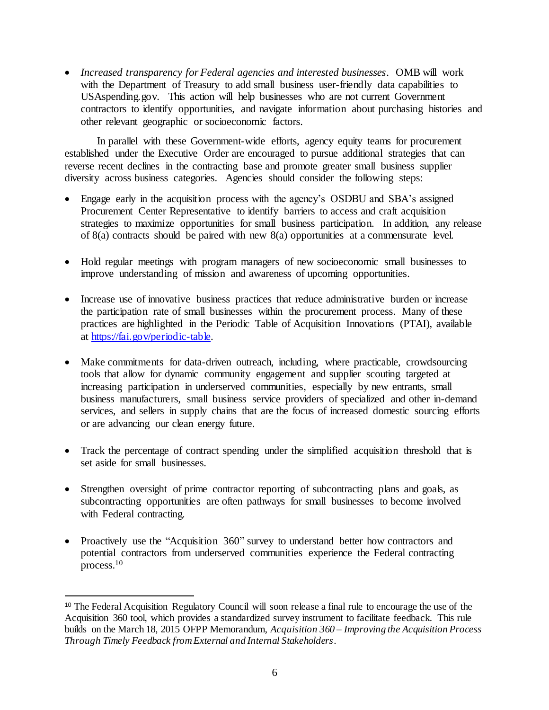• *Increased transparency for Federal agencies and interested businesses.* OMB will work with the Department of Treasury to add small business user-friendly data capabilities to USAspending.gov. This action will help businesses who are not current Government contractors to identify opportunities, and navigate information about purchasing histories and other relevant geographic or socioeconomic factors.

 In parallel with these Government-wide efforts, agency equity teams for procurement established under the Executive Order are encouraged to pursue additional strategies that can reverse recent declines in the contracting base and promote greater small business supplier diversity across business categories. Agencies should consider the following steps:

- • Engage early in the acquisition process with the agency's OSDBU and SBA's assigned Procurement Center Representative to identify barriers to access and craft acquisition strategies to maximize opportunities for small business participation. In addition, any release of 8(a) contracts should be paired with new 8(a) opportunities at a commensurate level.
- • Hold regular meetings with program managers of new socioeconomic small businesses to improve understanding of mission and awareness of upcoming opportunities.
- • Increase use of innovative business practices that reduce administrative burden or increase the participation rate of small businesses within the procurement process. Many of these practices are highlighted in the Periodic Table of Acquisition Innovations (PTAI), available at [https://fai.gov/periodic-table.](https://fai.gov/periodic-table)
- Make commitments for data-driven outreach, including, where practicable, crowdsourcing tools that allow for dynamic community engagement and supplier scouting targeted at increasing participation in underserved communities, especially by new entrants, small business manufacturers, small business service providers of specialized and other in-demand services, and sellers in supply chains that are the focus of increased domestic sourcing efforts or are advancing our clean energy future.
- • Track the percentage of contract spending under the simplified acquisition threshold that is set aside for small businesses.
- • Strengthen oversight of prime contractor reporting of subcontracting plans and goals, as subcontracting opportunities are often pathways for small businesses to become involved with Federal contracting.
- potential contractors from underserved communities experience the Federal contracting • Proactively use the "Acquisition 360" survey to understand better how contractors and process. $10$

<sup>&</sup>lt;sup>10</sup> The Federal Acquisition Regulatory Council will soon release a final rule to encourage the use of the Acquisition 360 tool, which provides a standardized survey instrument to facilitate feedback. This rule builds on the March 18, 2015 OFPP Memorandum, *Acquisition 360 – Improving the Acquisition Process Through Timely Feedback from External and Internal Stakeholders*.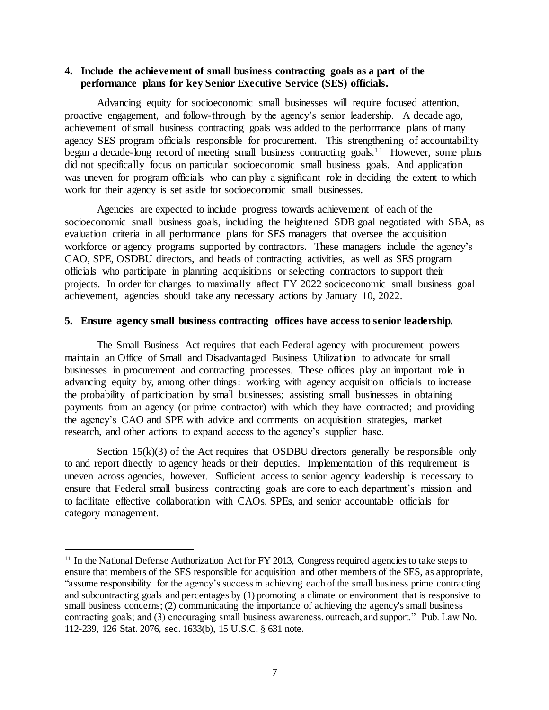## **4. Include the achievement of small business contracting goals as a part of the performance plans for key Senior Executive Service (SES) officials.**

 Advancing equity for socioeconomic small businesses will require focused attention, proactive engagement, and follow-through by the agency's senior leadership. A decade ago, achievement of small business contracting goals was added to the performance plans of many agency SES program officials responsible for procurement. This strengthening of accountability began a decade-long record of meeting small business contracting goals.<sup>11</sup> However, some plans did not specifically focus on particular socioeconomic small business goals. And application was uneven for program officials who can play a significant role in deciding the extent to which work for their agency is set aside for socioeconomic small businesses.

 Agencies are expected to include progress towards achievement of each of the socioeconomic small business goals, including the heightened SDB goal negotiated with SBA, as evaluation criteria in all performance plans for SES managers that oversee the acquisition workforce or agency programs supported by contractors. These managers include the agency's CAO, SPE, OSDBU directors, and heads of contracting activities, as well as SES program officials who participate in planning acquisitions or selecting contractors to support their projects. In order for changes to maximally affect FY 2022 socioeconomic small business goal achievement, agencies should take any necessary actions by January 10, 2022.

#### **5. Ensure agency small business contracting offices have access to senior leadership.**

 The Small Business Act requires that each Federal agency with procurement powers maintain an Office of Small and Disadvantaged Business Utilization to advocate for small businesses in procurement and contracting processes. These offices play an important role in advancing equity by, among other things: working with agency acquisition officials to increase the probability of participation by small businesses; assisting small businesses in obtaining payments from an agency (or prime contractor) with which they have contracted; and providing the agency's CAO and SPE with advice and comments on acquisition strategies, market research, and other actions to expand access to the agency's supplier base.

Section  $15(k)(3)$  of the Act requires that OSDBU directors generally be responsible only to and report directly to agency heads or their deputies. Implementation of this requirement is uneven across agencies, however. Sufficient access to senior agency leadership is necessary to ensure that Federal small business contracting goals are core to each department's mission and to facilitate effective collaboration with CAOs, SPEs, and senior accountable officials for category management.

<sup>&</sup>lt;sup>11</sup> In the National Defense Authorization Act for FY 2013, Congress required agencies to take steps to ensure that members of the SES responsible for acquisition and other members of the SES, as appropriate, "assume responsibility for the agency's success in achieving each of the small business prime contracting and subcontracting goals and percentages by (1) promoting a climate or environment that is responsive to small business concerns; (2) communicating the importance of achieving the agency's small business contracting goals; and (3) encouraging small business awareness, outreach, and support." Pub. Law No. 112-239, 126 Stat. 2076, sec. 1633(b), 15 U.S.C. § 631 note.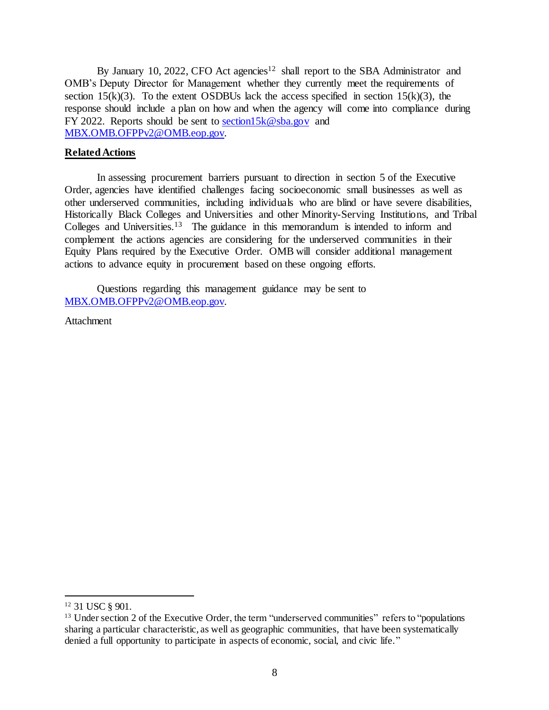By January 10, 2022, CFO Act agencies<sup>12</sup> shall report to the SBA Administrator and OMB's Deputy Director for Management whether they currently meet the requirements of section 15 $(k)(3)$ . To the extent OSDBUs lack the access specified in section 15 $(k)(3)$ , the response should include a plan on how and when the agency will come into compliance during FY 2022. Reports should be sent to [section15k@sba.gov](mailto:section15k@sba.gov) and [MBX.OMB.OFPPv2@OMB.eop.gov.](mailto:MBX.OMB.OFPPv2@OMB.eop.gov) 

### **Related Actions**

 In assessing procurement barriers pursuant to direction in section 5 of the Executive Order, agencies have identified challenges facing socioeconomic small businesses as well as other underserved communities, including individuals who are blind or have severe disabilities, Historically Black Colleges and Universities and other Minority-Serving Institutions, and Tribal Colleges and Universities.<sup>13</sup> The guidance in this memorandum is intended to inform and complement the actions agencies are considering for the underserved communities in their Equity Plans required by the Executive Order. OMB will consider additional management actions to advance equity in procurement based on these ongoing efforts.

 Questions regarding this management guidance may be sent to [MBX.OMB.OFPPv2@OMB.eop.gov.](mailto:MBX.OMB.OFPPv2@OMB.eop.gov) 

Attachment

 $\ddot{\phantom{a}}$ <sup>12</sup> 31 USC § 901.

<sup>&</sup>lt;sup>12</sup> 31 USC  $\S$  901.<br><sup>13</sup> Under section 2 of the Executive Order, the term "underserved communities" refers to "populations sharing a particular characteristic, as well as geographic communities, that have been systematically denied a full opportunity to participate in aspects of economic, social, and civic life."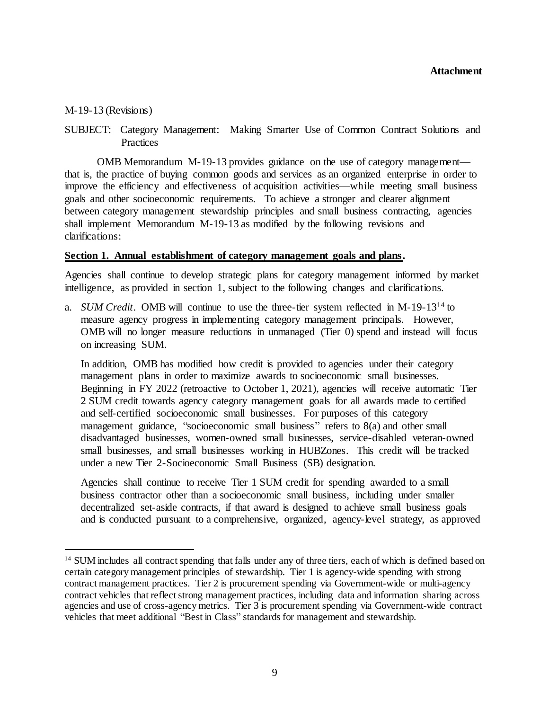### M-19-13 (Revisions)

 $\ddot{\phantom{a}}$ 

 SUBJECT: Category Management: Making Smarter Use of Common Contract Solutions and **Practices** 

 OMB Memorandum M-19-13 provides guidance on the use of category management— that is, the practice of buying common goods and services as an organized enterprise in order to improve the efficiency and effectiveness of acquisition activities—while meeting small business goals and other socioeconomic requirements. To achieve a stronger and clearer alignment between category management stewardship principles and small business contracting, agencies shall implement Memorandum M-19-13 as modified by the following revisions and clarifications:

## **Section 1. Annual establishment of category management goals and plans.**

 Agencies shall continue to develop strategic plans for category management informed by market intelligence, as provided in section 1, subject to the following changes and clarifications.

 a. *SUM Credit*. OMB will continue to use the three-tier system reflected in M-19-1314 to measure agency progress in implementing category management principals. However, OMB will no longer measure reductions in unmanaged (Tier 0) spend and instead will focus on increasing SUM.

 In addition, OMB has modified how credit is provided to agencies under their category management plans in order to maximize awards to socioeconomic small businesses. Beginning in FY 2022 (retroactive to October 1, 2021), agencies will receive automatic Tier 2 SUM credit towards agency category management goals for all awards made to certified and self-certified socioeconomic small businesses. For purposes of this category management guidance, "socioeconomic small business" refers to 8(a) and other small small businesses, and small businesses working in HUBZones. This credit will be tracked under a new Tier 2-Socioeconomic Small Business (SB) designation. disadvantaged businesses, women-owned small businesses, service-disabled veteran-owned

 Agencies shall continue to receive Tier 1 SUM credit for spending awarded to a small business contractor other than a socioeconomic small business, including under smaller decentralized set-aside contracts, if that award is designed to achieve small business goals and is conducted pursuant to a comprehensive, organized, agency-level strategy, as approved

<sup>&</sup>lt;sup>14</sup> SUM includes all contract spending that falls under any of three tiers, each of which is defined based on certain category management principles of stewardship. Tier 1 is agency-wide spending with strong contract management practices. Tier 2 is procurement spending via Government-wide or multi-agency contract vehicles that reflect strong management practices, including data and information sharing across agencies and use of cross-agency metrics. Tier 3 is procurement spending via Government-wide contract vehicles that meet additional "Best in Class" standards for management and stewardship.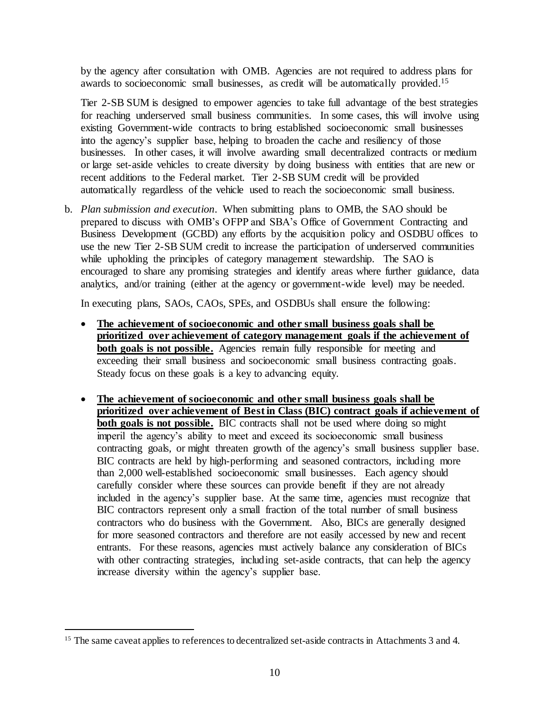by the agency after consultation with OMB. Agencies are not required to address plans for awards to socioeconomic small businesses, as credit will be automatically provided.<sup>15</sup>

 Tier 2-SB SUM is designed to empower agencies to take full advantage of the best strategies for reaching underserved small business communities. In some cases, this will involve using into the agency's supplier base, helping to broaden the cache and resiliency of those businesses. In other cases, it will involve awarding small decentralized contracts or medium or large set-aside vehicles to create diversity by doing business with entities that are new or recent additions to the Federal market. Tier 2-SB SUM credit will be provided automatically regardless of the vehicle used to reach the socioeconomic small business. existing Government-wide contracts to bring established socioeconomic small businesses

 b. *Plan submission and execution*. When submitting plans to OMB, the SAO should be prepared to discuss with OMB's OFPP and SBA's Office of Government Contracting and Business Development (GCBD) any efforts by the acquisition policy and OSDBU offices to use the new Tier 2-SB SUM credit to increase the participation of underserved communities while upholding the principles of category management stewardship. The SAO is encouraged to share any promising strategies and identify areas where further guidance, data analytics, and/or training (either at the agency or government-wide level) may be needed.

In executing plans, SAOs, CAOs, SPEs, and OSDBUs shall ensure the following:

- The achievement of socioeconomic and other small business goals shall be  **prioritized over achievement of category management goals if the achievement of both goals is not possible.** Agencies remain fully responsible for meeting and exceeding their small business and socioeconomic small business contracting goals. Steady focus on these goals is a key to advancing equity.
- The achievement of socioeconomic and other small business goals shall be  **prioritized over achievement of Best in Class (BIC) contract goals if achievement of both goals is not possible.** BIC contracts shall not be used where doing so might imperil the agency's ability to meet and exceed its socioeconomic small business contracting goals, or might threaten growth of the agency's small business supplier base. BIC contracts are held by high-performing and seasoned contractors, including more than 2,000 well-established socioeconomic small businesses. Each agency should carefully consider where these sources can provide benefit if they are not already included in the agency's supplier base. At the same time, agencies must recognize that BIC contractors represent only a small fraction of the total number of small business contractors who do business with the Government. Also, BICs are generally designed for more seasoned contractors and therefore are not easily accessed by new and recent entrants. For these reasons, agencies must actively balance any consideration of BICs with other contracting strategies, including set-aside contracts, that can help the agency increase diversity within the agency's supplier base.

<sup>&</sup>lt;sup>15</sup> The same caveat applies to references to decentralized set-aside contracts in Attachments 3 and 4.